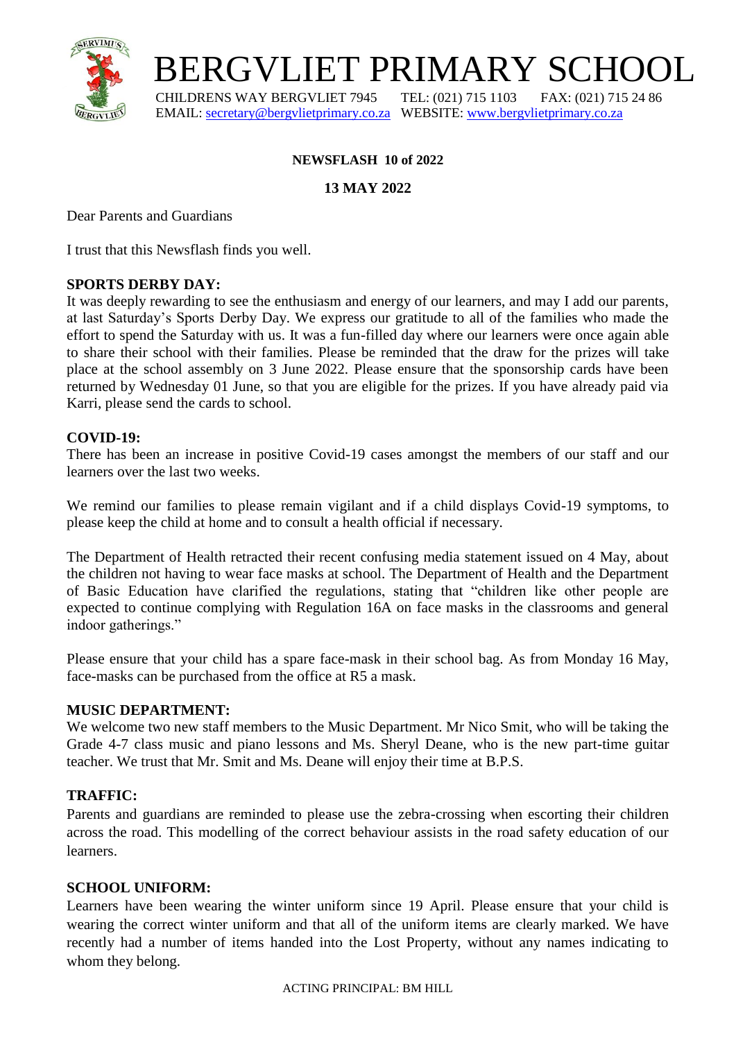

# BERGVLIET PRIMARY SCHOOL

 CHILDRENS WAY BERGVLIET 7945 TEL: (021) 715 1103 FAX: (021) 715 24 86 EMAIL: [secretary@bergvlietprimary.co.za](mailto:secretary@bergvlietprimary.co.za) WEBSITE[: www.bergvlietprimary.co.za](http://www.bergvlietprimary.co.za/)

## **NEWSFLASH 10 of 2022**

## **13 MAY 2022**

Dear Parents and Guardians

I trust that this Newsflash finds you well.

#### **SPORTS DERBY DAY:**

It was deeply rewarding to see the enthusiasm and energy of our learners, and may I add our parents, at last Saturday's Sports Derby Day. We express our gratitude to all of the families who made the effort to spend the Saturday with us. It was a fun-filled day where our learners were once again able to share their school with their families. Please be reminded that the draw for the prizes will take place at the school assembly on 3 June 2022. Please ensure that the sponsorship cards have been returned by Wednesday 01 June, so that you are eligible for the prizes. If you have already paid via Karri, please send the cards to school.

#### **COVID-19:**

There has been an increase in positive Covid-19 cases amongst the members of our staff and our learners over the last two weeks.

We remind our families to please remain vigilant and if a child displays Covid-19 symptoms, to please keep the child at home and to consult a health official if necessary.

The Department of Health retracted their recent confusing media statement issued on 4 May, about the children not having to wear face masks at school. The Department of Health and the Department of Basic Education have clarified the regulations, stating that "children like other people are expected to continue complying with Regulation 16A on face masks in the classrooms and general indoor gatherings."

Please ensure that your child has a spare face-mask in their school bag. As from Monday 16 May, face-masks can be purchased from the office at R5 a mask.

#### **MUSIC DEPARTMENT:**

We welcome two new staff members to the Music Department. Mr Nico Smit, who will be taking the Grade 4-7 class music and piano lessons and Ms. Sheryl Deane, who is the new part-time guitar teacher. We trust that Mr. Smit and Ms. Deane will enjoy their time at B.P.S.

#### **TRAFFIC:**

Parents and guardians are reminded to please use the zebra-crossing when escorting their children across the road. This modelling of the correct behaviour assists in the road safety education of our learners.

#### **SCHOOL UNIFORM:**

Learners have been wearing the winter uniform since 19 April. Please ensure that your child is wearing the correct winter uniform and that all of the uniform items are clearly marked. We have recently had a number of items handed into the Lost Property, without any names indicating to whom they belong.

ACTING PRINCIPAL: BM HILL